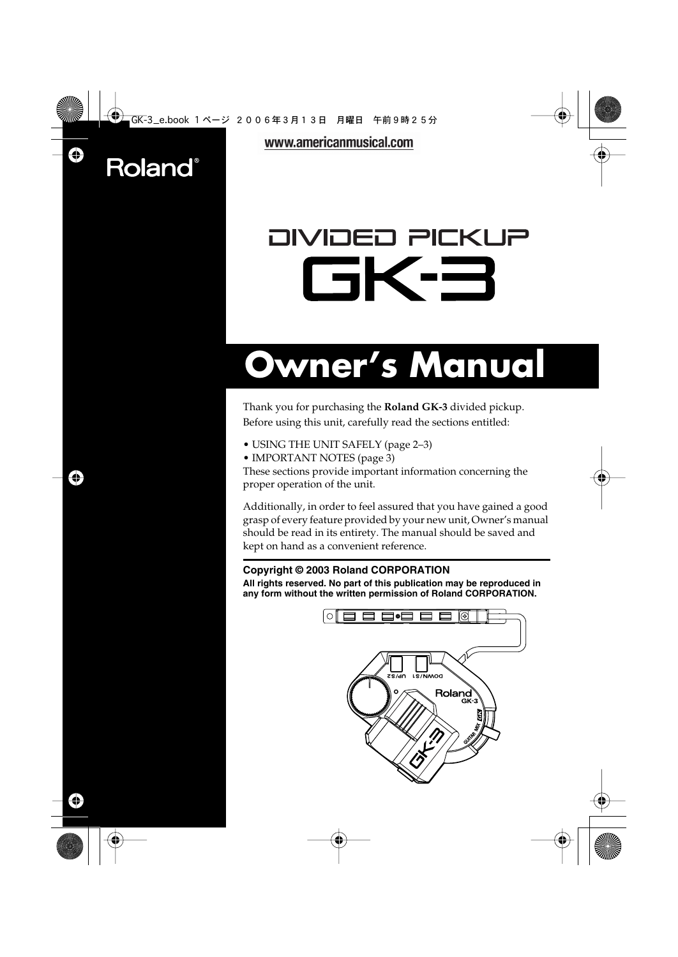## **Roland**®

www.americanmusical.com

# OIVIOEO PICKUP GK-3

# **Owner's Manual**

Thank you for purchasing the **Roland GK-3** divided pickup. Before using this unit, carefully read the sections entitled:

- USING THE UNIT SAFELY (page 2–3)
- IMPORTANT NOTES (page 3)

These sections provide important information concerning the proper operation of the unit.

Additionally, in order to feel assured that you have gained a good grasp of every feature provided by your new unit, Owner's manual should be read in its entirety. The manual should be saved and kept on hand as a convenient reference.

### **Copyright © 2003 Roland CORPORATION**

**All rights reserved. No part of this publication may be reproduced in any form without the written permission of Roland CORPORATION.** 

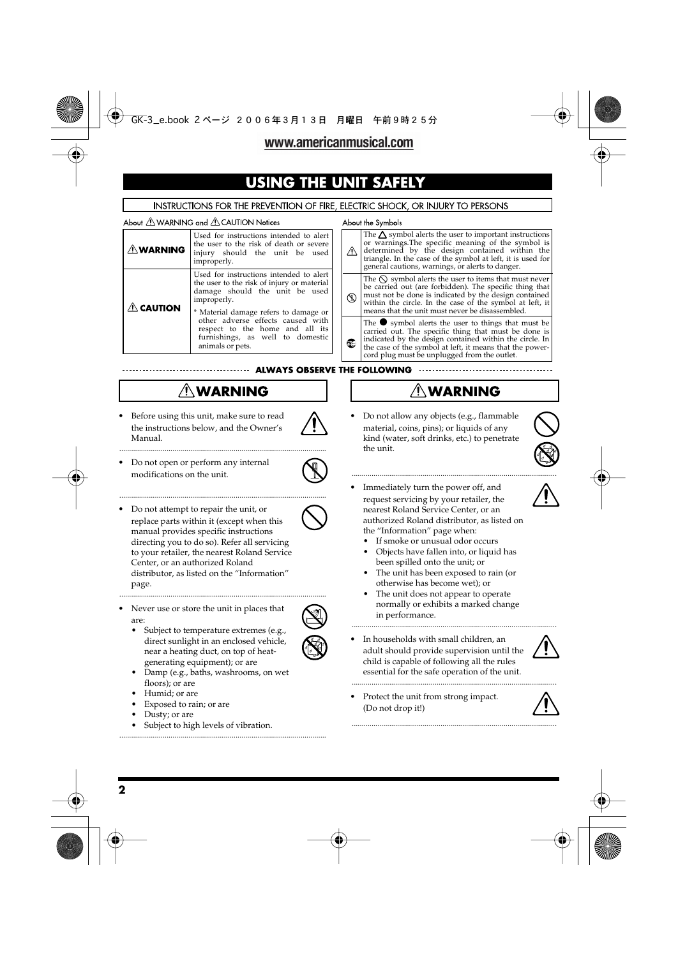## **USING THE UNIT**

#### INSTRUCTIONS FOR THE PREVENTION OF FIRE, ELECTRIC SHOCK, OR INJURY TO PERSONS

#### About  $\triangle$  WARNING and  $\triangle$  CAUTION Notices

| ∕ NWARNING ∧        | Used for instructions intended to alert<br>the user to the risk of death or severe<br>injury should the unit be used<br>improperly.                                   |
|---------------------|-----------------------------------------------------------------------------------------------------------------------------------------------------------------------|
| $\mathbb A$ CAUTION | Used for instructions intended to alert<br>the user to the risk of injury or material<br>damage should the unit be used<br>improperly.                                |
|                     | * Material damage refers to damage or<br>other adverse effects caused with<br>respect to the home and all its<br>furnishings, as well to domestic<br>animals or pets. |

#### About the Symbols



**ALWAYS OBSERVE THE FOLLOWING** 

## $\triangle$  WARNING

.........................................................................................................

.........................................................................................................

Before using this unit, make sure to read the instructions below, and the Owner's Manual.



• Do not open or perform any internal modifications on the unit.



• Do not attempt to repair the unit, or replace parts within it (except when this manual provides specific instructions directing you to do so). Refer all servicing to your retailer, the nearest Roland Service Center, or an authorized Roland distributor, as listed on the "Information" page.



are: Subject to temperature extremes (e.g., direct sunlight in an enclosed vehicle, near a heating duct, on top of heatgenerating equipment); or are



- Damp (e.g., baths, washrooms, on wet floors); or are
- Humid; or are
- Exposed to rain; or are
- Dusty; or are
- Subject to high levels of vibration.

.........................................................................................................

## $\triangle$  WARNING

........................................................................................................

• Do not allow any objects (e.g., flammable material, coins, pins); or liquids of any kind (water, soft drinks, etc.) to penetrate the unit.



- Immediately turn the power off, and request servicing by your retailer, the nearest Roland Service Center, or an authorized Roland distributor, as listed on the "Information" page when:
	- If smoke or unusual odor occurs
	- Objects have fallen into, or liquid has been spilled onto the unit; or
	- The unit has been exposed to rain (or otherwise has become wet); or
	- The unit does not appear to operate normally or exhibits a marked change in performance.

........................................................................................................

........................................................................................................

• In households with small children, an adult should provide supervision until the child is capable of following all the rules essential for the safe operation of the unit.



• Protect the unit from strong impact. (Do not drop it!)

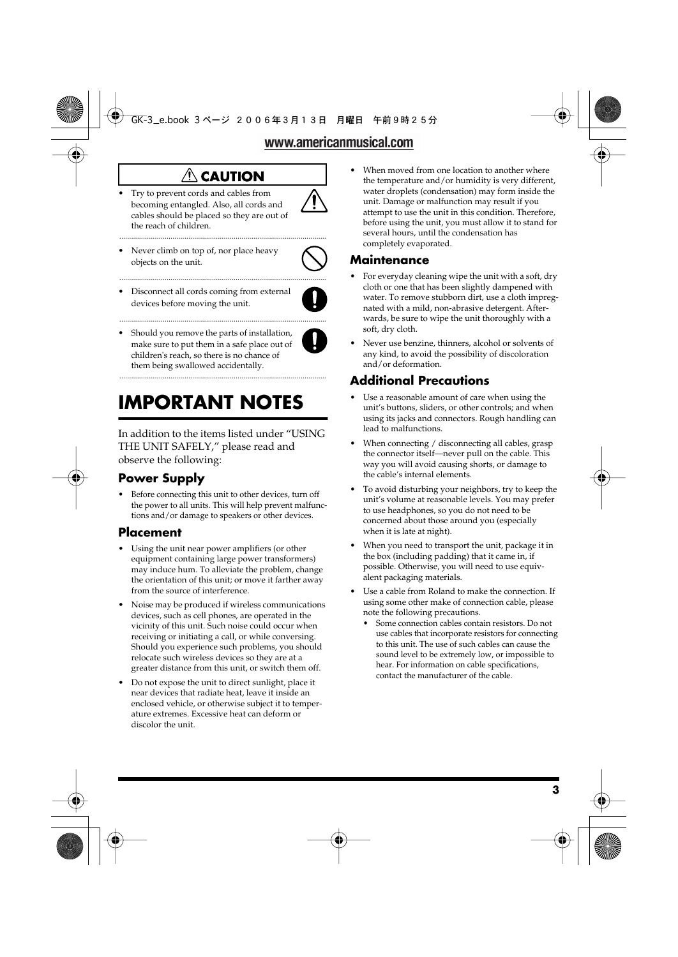## $\triangle$  CAUTION

.........................................................................................................

• Try to prevent cords and cables from becoming entangled. Also, all cords and cables should be placed so they are out of the reach of children.



Never climb on top of, nor place heavy objects on the unit.



• Disconnect all cords coming from external devices before moving the unit.



Should you remove the parts of installation, make sure to put them in a safe place out of children's reach, so there is no chance of them being swallowed accidentally.

## **IMPORTANT NOTES**

In addition to the items listed under "USING THE UNIT SAFELY," please read and observe the following:

.........................................................................................................

## **Power Supply**

Before connecting this unit to other devices, turn off the power to all units. This will help prevent malfunctions and/or damage to speakers or other devices.

## **Placement**

- Using the unit near power amplifiers (or other equipment containing large power transformers) may induce hum. To alleviate the problem, change the orientation of this unit; or move it farther away from the source of interference.
- Noise may be produced if wireless communications devices, such as cell phones, are operated in the vicinity of this unit. Such noise could occur when receiving or initiating a call, or while conversing. Should you experience such problems, you should relocate such wireless devices so they are at a greater distance from this unit, or switch them off.
- Do not expose the unit to direct sunlight, place it near devices that radiate heat, leave it inside an enclosed vehicle, or otherwise subject it to temperature extremes. Excessive heat can deform or discolor the unit.

When moved from one location to another where the temperature and/or humidity is very different, water droplets (condensation) may form inside the unit. Damage or malfunction may result if you attempt to use the unit in this condition. Therefore, before using the unit, you must allow it to stand for several hours, until the condensation has completely evaporated.

## **Maintenance**

- For everyday cleaning wipe the unit with a soft, dry cloth or one that has been slightly dampened with water. To remove stubborn dirt, use a cloth impregnated with a mild, non-abrasive detergent. Afterwards, be sure to wipe the unit thoroughly with a soft, dry cloth.
- Never use benzine, thinners, alcohol or solvents of any kind, to avoid the possibility of discoloration and/or deformation.

## **Additional Precautions**

- Use a reasonable amount of care when using the unit's buttons, sliders, or other controls; and when using its jacks and connectors. Rough handling can lead to malfunctions.
- <sup>556</sup> When connecting / disconnecting all cables, grasp the connector itself—never pull on the cable. This way you will avoid causing shorts, or damage to the cable's internal elements.
- To avoid disturbing your neighbors, try to keep the unit's volume at reasonable levels. You may prefer to use headphones, so you do not need to be concerned about those around you (especially when it is late at night).
- When you need to transport the unit, package it in the box (including padding) that it came in, if possible. Otherwise, you will need to use equivalent packaging materials.
- Use a cable from Roland to make the connection. If using some other make of connection cable, please note the following precautions.
	- Some connection cables contain resistors. Do not use cables that incorporate resistors for connecting to this unit. The use of such cables can cause the sound level to be extremely low, or impossible to hear. For information on cable specifications, contact the manufacturer of the cable.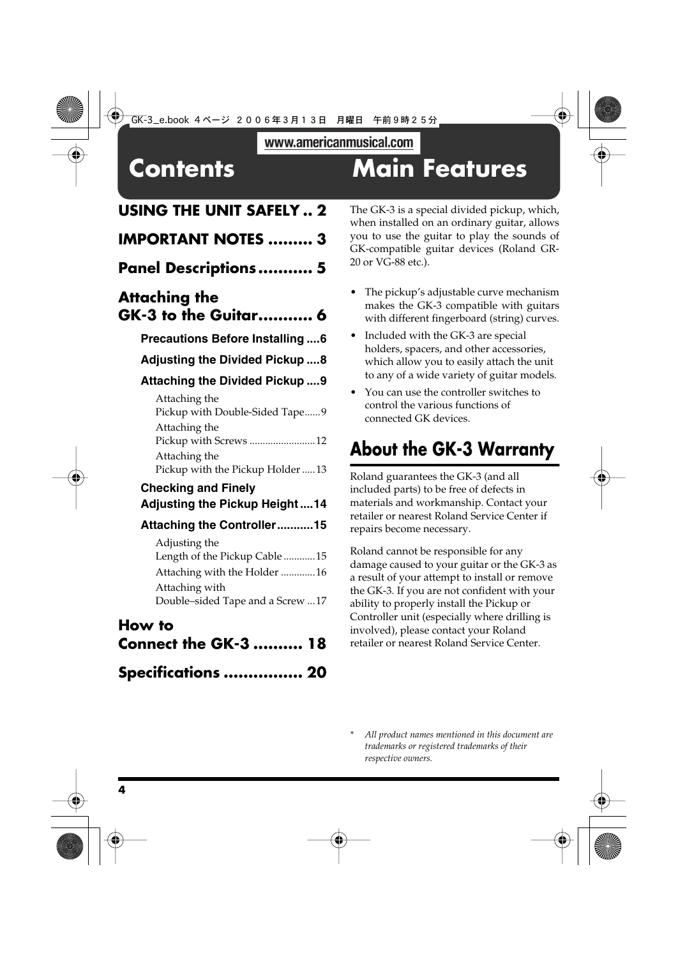## **Contents Main Features**

## **USING THE UNIT SAFELY .. 2**

| <b>IMPORTANT NOTES  3</b>                                                                                                             |
|---------------------------------------------------------------------------------------------------------------------------------------|
| Panel Descriptions  5                                                                                                                 |
| <b>Attaching the</b><br><b>GK-3 to the Guitar 6</b>                                                                                   |
| <b>Precautions Before Installing6</b>                                                                                                 |
| <b>Adjusting the Divided Pickup 8</b>                                                                                                 |
| Attaching the Divided Pickup  9                                                                                                       |
| Attaching the<br>Pickup with Double-Sided Tape9                                                                                       |
| Attaching the<br>Pickup with Screws  12                                                                                               |
| Attaching the<br>Pickup with the Pickup Holder  13                                                                                    |
| <b>Checking and Finely</b><br><b>Adjusting the Pickup Height14</b>                                                                    |
| Attaching the Controller15                                                                                                            |
| Adjusting the<br>Length of the Pickup Cable  15<br>Attaching with the Holder 16<br>Attaching with<br>Double-sided Tape and a Screw 17 |

## **How to**

| <b>Connect the GK-3  18</b> |  |
|-----------------------------|--|
| Specifications  20          |  |

The GK-3 is a special divided pickup, which, when installed on an ordinary guitar, allows you to use the guitar to play the sounds of GK-compatible guitar devices (Roland GR-20 or VG-88 etc.).

- The pickup's adjustable curve mechanism makes the GK-3 compatible with guitars with different fingerboard (string) curves.
- Included with the GK-3 are special holders, spacers, and other accessories, which allow you to easily attach the unit to any of a wide variety of guitar models.
- You can use the controller switches to control the various functions of connected GK devices.

## **About the GK-3 Warranty**

Roland guarantees the GK-3 (and all included parts) to be free of defects in materials and workmanship. Contact your retailer or nearest Roland Service Center if repairs become necessary.

Roland cannot be responsible for any damage caused to your guitar or the GK-3 as a result of your attempt to install or remove the GK-3. If you are not confident with your ability to properly install the Pickup or Controller unit (especially where drilling is involved), please contact your Roland retailer or nearest Roland Service Center.

*\* All product names mentioned in this document are trademarks or registered trademarks of their respective owners.*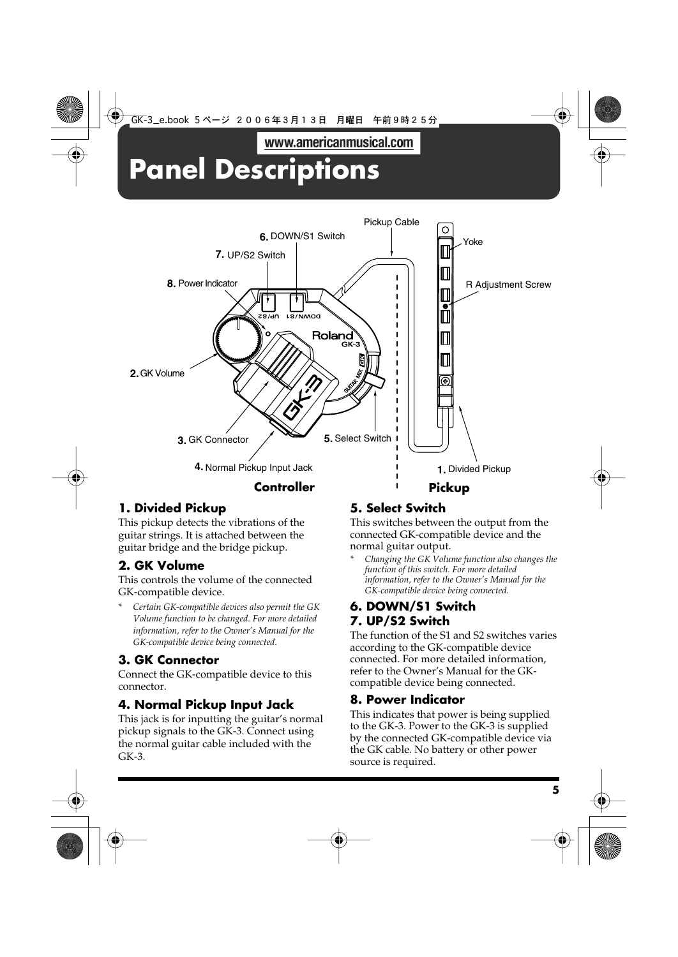## www.americanmusical.com **Panel Descriptions**



## **1. Divided Pickup**

This pickup detects the vibrations of the guitar strings. It is attached between the guitar bridge and the bridge pickup.

## **2. GK Volume**

This controls the volume of the connected GK-compatible device.

*\* Certain GK-compatible devices also permit the GK Volume function to be changed. For more detailed information, refer to the Owner's Manual for the GK-compatible device being connected.*

## **3. GK Connector**

Connect the GK-compatible device to this connector.

## **4. Normal Pickup Input Jack**

This jack is for inputting the guitar's normal pickup signals to the GK-3. Connect using the normal guitar cable included with the GK-3.

## **5. Select Switch**

This switches between the output from the connected GK-compatible device and the normal guitar output.

*\* Changing the GK Volume function also changes the function of this switch. For more detailed information, refer to the Owner's Manual for the GK-compatible device being connected.*

## **6. DOWN/S1 Switch 7. UP/S2 Switch**

The function of the S1 and S2 switches varies according to the GK-compatible device connected. For more detailed information, refer to the Owner's Manual for the GKcompatible device being connected.

## **8. Power Indicator**

This indicates that power is being supplied to the GK-3. Power to the GK-3 is supplied by the connected GK-compatible device via the GK cable. No battery or other power source is required.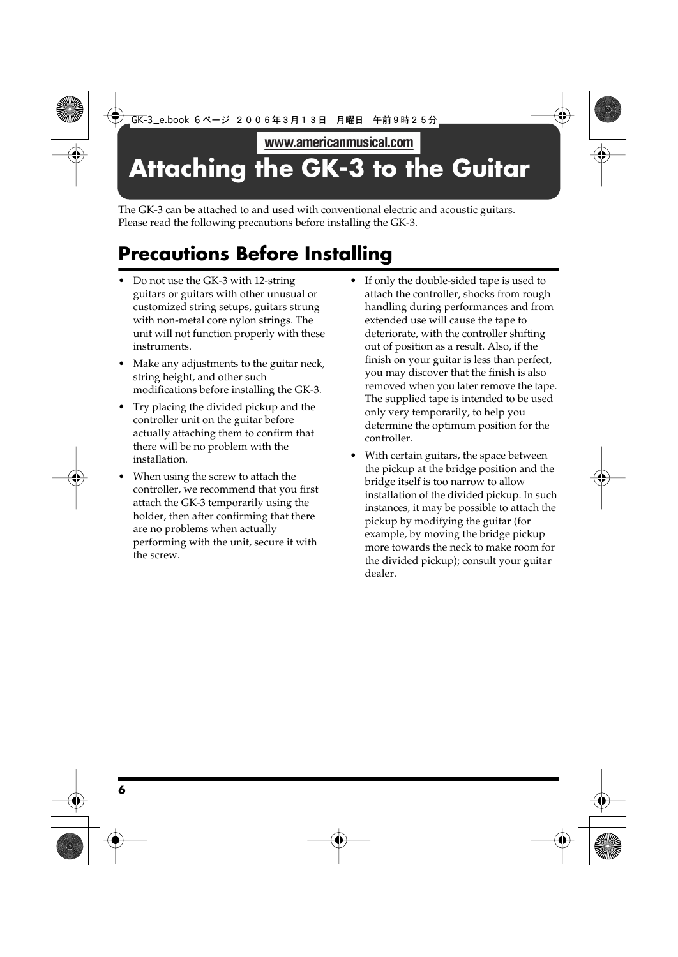## **Attaching the GK-3 to the Guitar**

The GK-3 can be attached to and used with conventional electric and acoustic guitars. Please read the following precautions before installing the GK-3.

## **Precautions Before Installing**

- Do not use the GK-3 with 12-string guitars or guitars with other unusual or customized string setups, guitars strung with non-metal core nylon strings. The unit will not function properly with these instruments.
- Make any adjustments to the guitar neck, string height, and other such modifications before installing the GK-3.
- Try placing the divided pickup and the controller unit on the guitar before actually attaching them to confirm that there will be no problem with the installation.
- When using the screw to attach the controller, we recommend that you first attach the GK-3 temporarily using the holder, then after confirming that there are no problems when actually performing with the unit, secure it with the screw.
- If only the double-sided tape is used to attach the controller, shocks from rough handling during performances and from extended use will cause the tape to deteriorate, with the controller shifting out of position as a result. Also, if the finish on your guitar is less than perfect, you may discover that the finish is also removed when you later remove the tape. The supplied tape is intended to be used only very temporarily, to help you determine the optimum position for the controller.
- With certain guitars, the space between the pickup at the bridge position and the bridge itself is too narrow to allow installation of the divided pickup. In such instances, it may be possible to attach the pickup by modifying the guitar (for example, by moving the bridge pickup more towards the neck to make room for the divided pickup); consult your guitar dealer.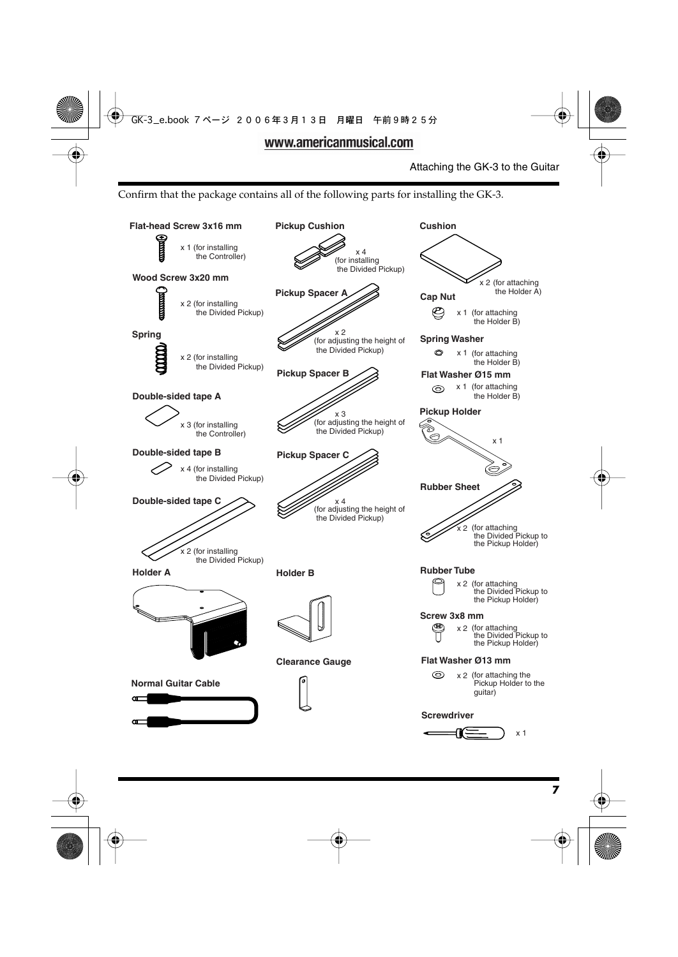Confirm that the package contains all of the following parts for installing the GK-3.

#### Attaching the GK-3 to the Guitar

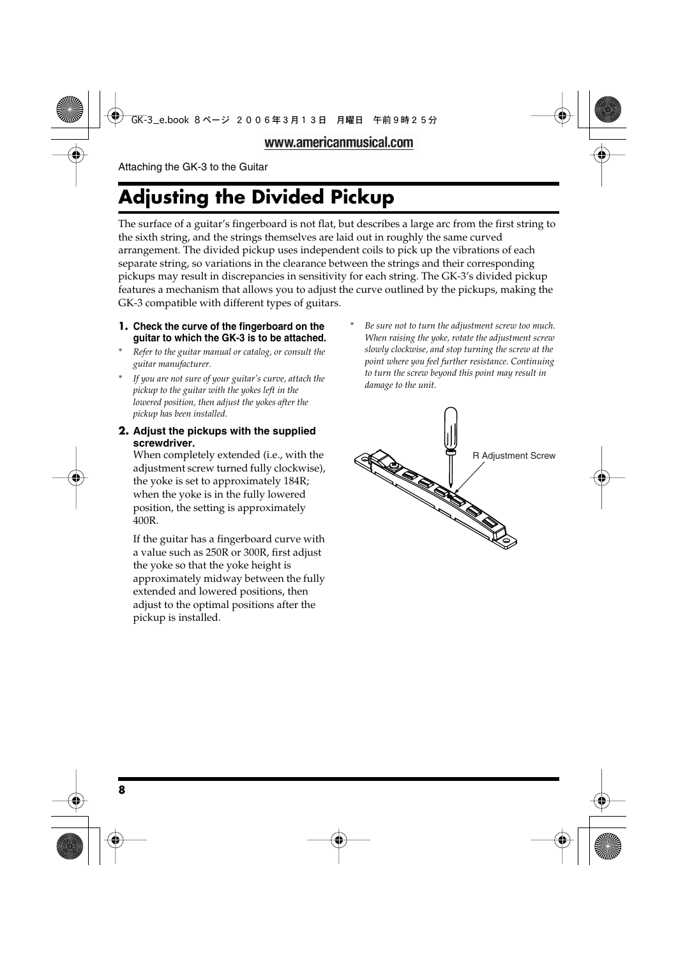## **Adjusting the Divided Pickup**

The surface of a guitar's fingerboard is not flat, but describes a large arc from the first string to the sixth string, and the strings themselves are laid out in roughly the same curved arrangement. The divided pickup uses independent coils to pick up the vibrations of each separate string, so variations in the clearance between the strings and their corresponding pickups may result in discrepancies in sensitivity for each string. The GK-3's divided pickup features a mechanism that allows you to adjust the curve outlined by the pickups, making the GK-3 compatible with different types of guitars.

#### **1. Check the curve of the fingerboard on the guitar to which the GK-3 is to be attached.**

- *\* Refer to the guitar manual or catalog, or consult the guitar manufacturer.*
- *\* If you are not sure of your guitar's curve, attach the pickup to the guitar with the yokes left in the lowered position, then adjust the yokes after the pickup has been installed.*
- **2. Adjust the pickups with the supplied screwdriver.**

When completely extended (i.e., with the adjustment screw turned fully clockwise), the yoke is set to approximately 184R; when the yoke is in the fully lowered position, the setting is approximately 400R.

If the guitar has a fingerboard curve with a value such as 250R or 300R, first adjust the yoke so that the yoke height is approximately midway between the fully extended and lowered positions, then adjust to the optimal positions after the pickup is installed.

*\* Be sure not to turn the adjustment screw too much. When raising the yoke, rotate the adjustment screw slowly clockwise, and stop turning the screw at the point where you feel further resistance. Continuing to turn the screw beyond this point may result in damage to the unit.*

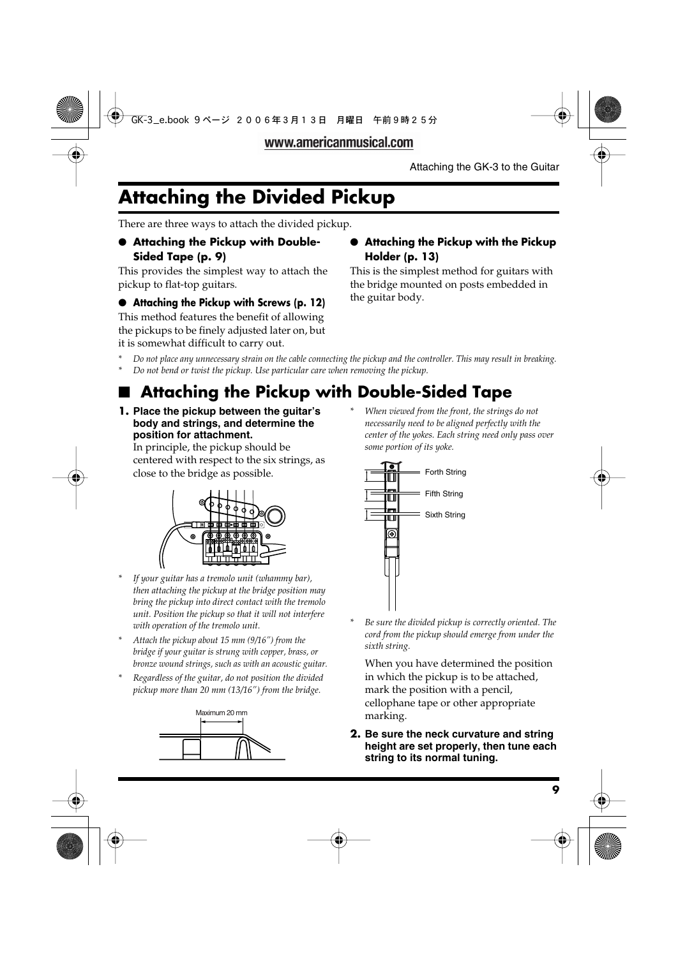## **Attaching the Divided Pickup**

There are three ways to attach the divided pickup.

### ● **Attaching the Pickup with Double-Sided Tape (p. 9)**

This provides the simplest way to attach the pickup to flat-top guitars.

## ● **Attaching the Pickup with Screws (p. 12)**

This method features the benefit of allowing the pickups to be finely adjusted later on, but it is somewhat difficult to carry out.

## ● **Attaching the Pickup with the Pickup Holder (p. 13)**

This is the simplest method for guitars with the bridge mounted on posts embedded in the guitar body.

- *\* Do not place any unnecessary strain on the cable connecting the pickup and the controller. This may result in breaking.*
- *\* Do not bend or twist the pickup. Use particular care when removing the pickup.*

## ■ **Attaching the Pickup with Double-Sided Tape**

**1. Place the pickup between the guitar's body and strings, and determine the position for attachment.**

In principle, the pickup should be centered with respect to the six strings, as close to the bridge as possible.



- *\* If your guitar has a tremolo unit (whammy bar), then attaching the pickup at the bridge position may bring the pickup into direct contact with the tremolo unit. Position the pickup so that it will not interfere with operation of the tremolo unit.*
- *\* Attach the pickup about 15 mm (9/16") from the bridge if your guitar is strung with copper, brass, or bronze wound strings, such as with an acoustic guitar.*
- *\* Regardless of the guitar, do not position the divided pickup more than 20 mm (13/16") from the bridge.*



*\* When viewed from the front, the strings do not necessarily need to be aligned perfectly with the center of the yokes. Each string need only pass over some portion of its yoke.*



*\* Be sure the divided pickup is correctly oriented. The cord from the pickup should emerge from under the sixth string.*

When you have determined the position in which the pickup is to be attached, mark the position with a pencil, cellophane tape or other appropriate marking.

**2. Be sure the neck curvature and string height are set properly, then tune each string to its normal tuning.**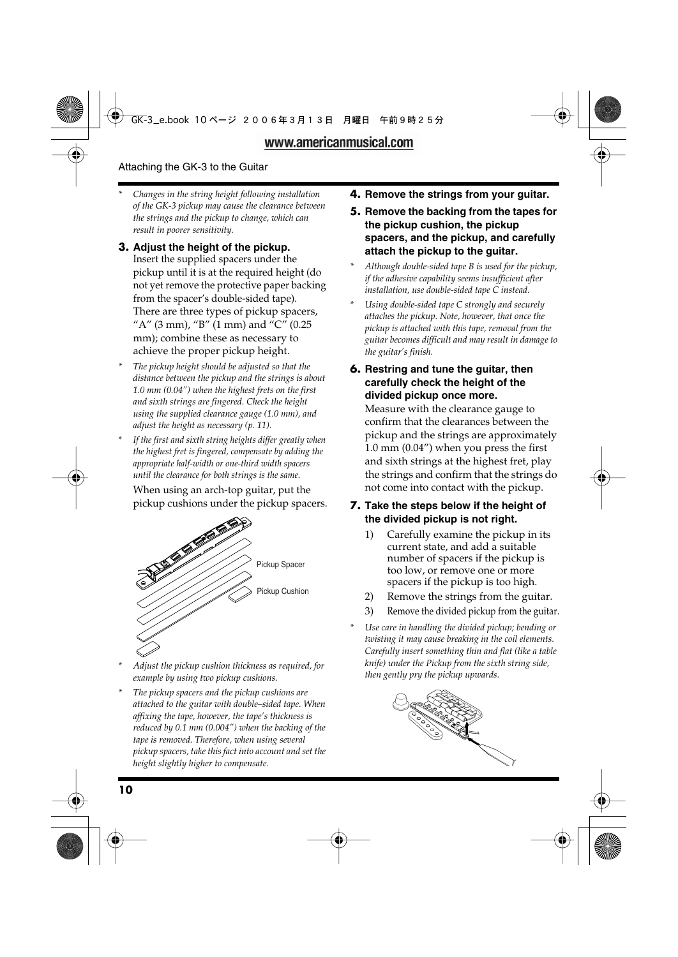- *\* Changes in the string height following installation of the GK-3 pickup may cause the clearance between the strings and the pickup to change, which can result in poorer sensitivity.*
- **3. Adjust the height of the pickup.** Insert the supplied spacers under the pickup until it is at the required height (do not yet remove the protective paper backing from the spacer's double-sided tape). There are three types of pickup spacers, "A" (3 mm), "B" (1 mm) and "C" (0.25 mm); combine these as necessary to achieve the proper pickup height.
- *\* The pickup height should be adjusted so that the distance between the pickup and the strings is about 1.0 mm (0.04") when the highest frets on the first and sixth strings are fingered. Check the height using the supplied clearance gauge (1.0 mm), and adjust the height as necessary (p. 11).*
- *\* If the first and sixth string heights differ greatly when the highest fret is fingered, compensate by adding the appropriate half-width or one-third width spacers until the clearance for both strings is the same.*

When using an arch-top guitar, put the pickup cushions under the pickup spacers.



- *\* Adjust the pickup cushion thickness as required, for example by using two pickup cushions.*
- *\* The pickup spacers and the pickup cushions are attached to the guitar with double–sided tape. When affixing the tape, however, the tape's thickness is reduced by 0.1 mm (0.004") when the backing of the tape is removed. Therefore, when using several pickup spacers, take this fact into account and set the height slightly higher to compensate.*
- **4. Remove the strings from your guitar.**
- **5. Remove the backing from the tapes for the pickup cushion, the pickup spacers, and the pickup, and carefully attach the pickup to the guitar.**
- *\* Although double-sided tape B is used for the pickup, if the adhesive capability seems insufficient after installation, use double-sided tape C instead.*
- *\* Using double-sided tape C strongly and securely attaches the pickup. Note, however, that once the pickup is attached with this tape, removal from the guitar becomes difficult and may result in damage to the guitar's finish.*
- **6. Restring and tune the guitar, then carefully check the height of the divided pickup once more.**

Measure with the clearance gauge to confirm that the clearances between the pickup and the strings are approximately 1.0 mm (0.04") when you press the first and sixth strings at the highest fret, play the strings and confirm that the strings do not come into contact with the pickup.

### **7. Take the steps below if the height of the divided pickup is not right.**

- 1) Carefully examine the pickup in its current state, and add a suitable number of spacers if the pickup is too low, or remove one or more spacers if the pickup is too high.
- 2) Remove the strings from the guitar.
- 3) Remove the divided pickup from the guitar.
- *\* Use care in handling the divided pickup; bending or twisting it may cause breaking in the coil elements. Carefully insert something thin and flat (like a table knife) under the Pickup from the sixth string side, then gently pry the pickup upwards.*

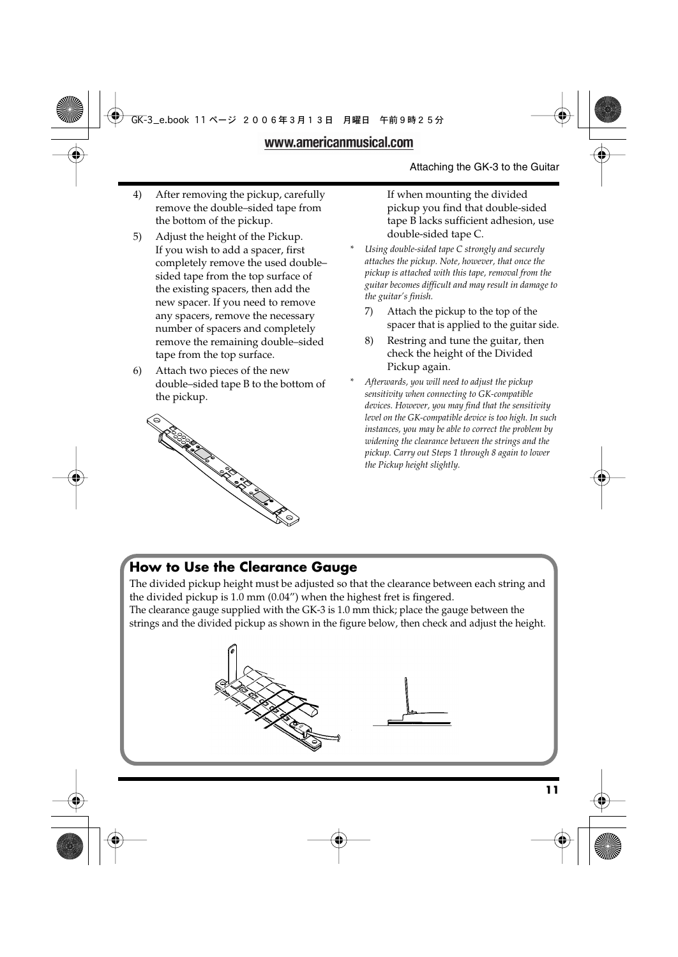- 4) After removing the pickup, carefully remove the double–sided tape from the bottom of the pickup.
- 5) Adjust the height of the Pickup. If you wish to add a spacer, first completely remove the used double– sided tape from the top surface of the existing spacers, then add the new spacer. If you need to remove any spacers, remove the necessary number of spacers and completely remove the remaining double–sided tape from the top surface.
- 6) Attach two pieces of the new double–sided tape B to the bottom of the pickup.



If when mounting the divided pickup you find that double-sided tape B lacks sufficient adhesion, use double-sided tape C.

- *\* Using double-sided tape C strongly and securely attaches the pickup. Note, however, that once the pickup is attached with this tape, removal from the guitar becomes difficult and may result in damage to the guitar's finish.*
	- 7) Attach the pickup to the top of the spacer that is applied to the guitar side.
	- 8) Restring and tune the guitar, then check the height of the Divided Pickup again.
- *\* Afterwards, you will need to adjust the pickup sensitivity when connecting to GK-compatible devices. However, you may find that the sensitivity level on the GK-compatible device is too high. In such instances, you may be able to correct the problem by widening the clearance between the strings and the pickup. Carry out Steps 1 through 8 again to lower the Pickup height slightly.*

## **How to Use the Clearance Gauge**

The divided pickup height must be adjusted so that the clearance between each string and the divided pickup is 1.0 mm (0.04") when the highest fret is fingered.

The clearance gauge supplied with the GK-3 is 1.0 mm thick; place the gauge between the strings and the divided pickup as shown in the figure below, then check and adjust the height.

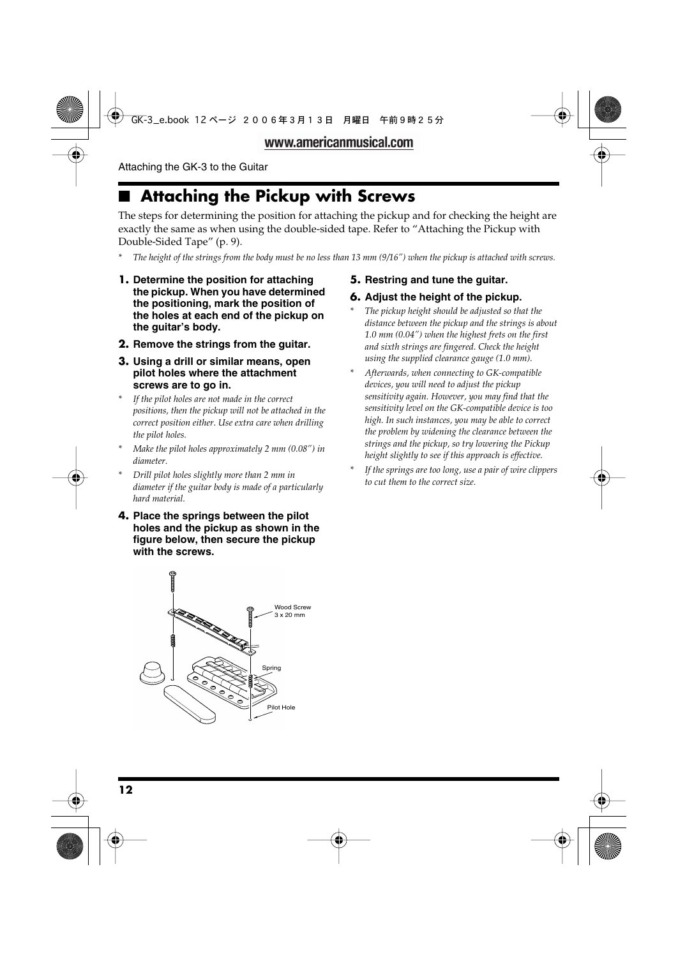## ■ **Attaching the Pickup with Screws**

The steps for determining the position for attaching the pickup and for checking the height are exactly the same as when using the double-sided tape. Refer to "Attaching the Pickup with Double-Sided Tape" (p. 9).

- *\* The height of the strings from the body must be no less than 13 mm (9/16") when the pickup is attached with screws.*
- **1. Determine the position for attaching the pickup. When you have determined the positioning, mark the position of the holes at each end of the pickup on the guitar's body.**
- **2. Remove the strings from the guitar.**
- **3. Using a drill or similar means, open pilot holes where the attachment screws are to go in.**
- *\* If the pilot holes are not made in the correct positions, then the pickup will not be attached in the correct position either. Use extra care when drilling the pilot holes.*
- *\* Make the pilot holes approximately 2 mm (0.08") in diameter.*
- *\* Drill pilot holes slightly more than 2 mm in diameter if the guitar body is made of a particularly hard material.*
- **4. Place the springs between the pilot holes and the pickup as shown in the figure below, then secure the pickup with the screws.**



## **5. Restring and tune the guitar.**

### **6. Adjust the height of the pickup.**

- *\* The pickup height should be adjusted so that the distance between the pickup and the strings is about 1.0 mm (0.04") when the highest frets on the first and sixth strings are fingered. Check the height using the supplied clearance gauge (1.0 mm).*
- *\* Afterwards, when connecting to GK-compatible devices, you will need to adjust the pickup sensitivity again. However, you may find that the sensitivity level on the GK-compatible device is too high. In such instances, you may be able to correct the problem by widening the clearance between the strings and the pickup, so try lowering the Pickup height slightly to see if this approach is effective.*
- *\* If the springs are too long, use a pair of wire clippers to cut them to the correct size.*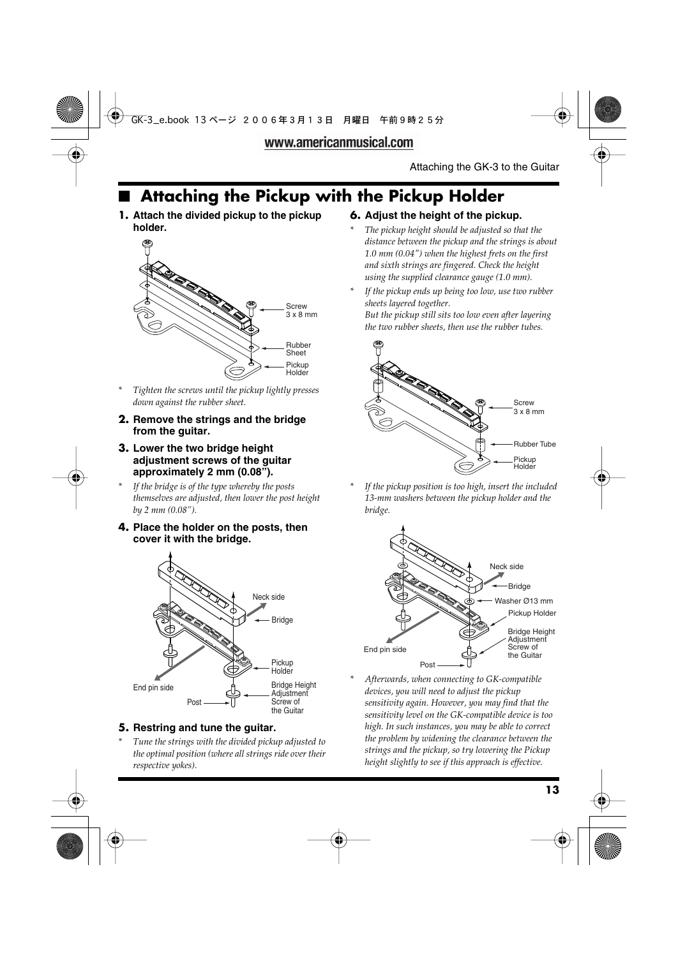## ■ **Attaching the Pickup with the Pickup Holder**

**1. Attach the divided pickup to the pickup holder.**



- *\* Tighten the screws until the pickup lightly presses down against the rubber sheet.*
- **2. Remove the strings and the bridge from the guitar.**
- **3. Lower the two bridge height adjustment screws of the guitar approximately 2 mm (0.08").**
- *\* If the bridge is of the type whereby the posts themselves are adjusted, then lower the post height by 2 mm (0.08").*
- **4. Place the holder on the posts, then cover it with the bridge.**



### **5. Restring and tune the guitar.**

*\* Tune the strings with the divided pickup adjusted to the optimal position (where all strings ride over their respective yokes).*

### **6. Adjust the height of the pickup.**

- *\* The pickup height should be adjusted so that the distance between the pickup and the strings is about 1.0 mm (0.04") when the highest frets on the first and sixth strings are fingered. Check the height using the supplied clearance gauge (1.0 mm).*
- *\* If the pickup ends up being too low, use two rubber sheets layered together.*

*But the pickup still sits too low even after layering the two rubber sheets, then use the rubber tubes.*



If the pickup position is too high, insert the included *13-mm washers between the pickup holder and the bridge.*



*\* Afterwards, when connecting to GK-compatible devices, you will need to adjust the pickup sensitivity again. However, you may find that the sensitivity level on the GK-compatible device is too high. In such instances, you may be able to correct the problem by widening the clearance between the strings and the pickup, so try lowering the Pickup height slightly to see if this approach is effective.*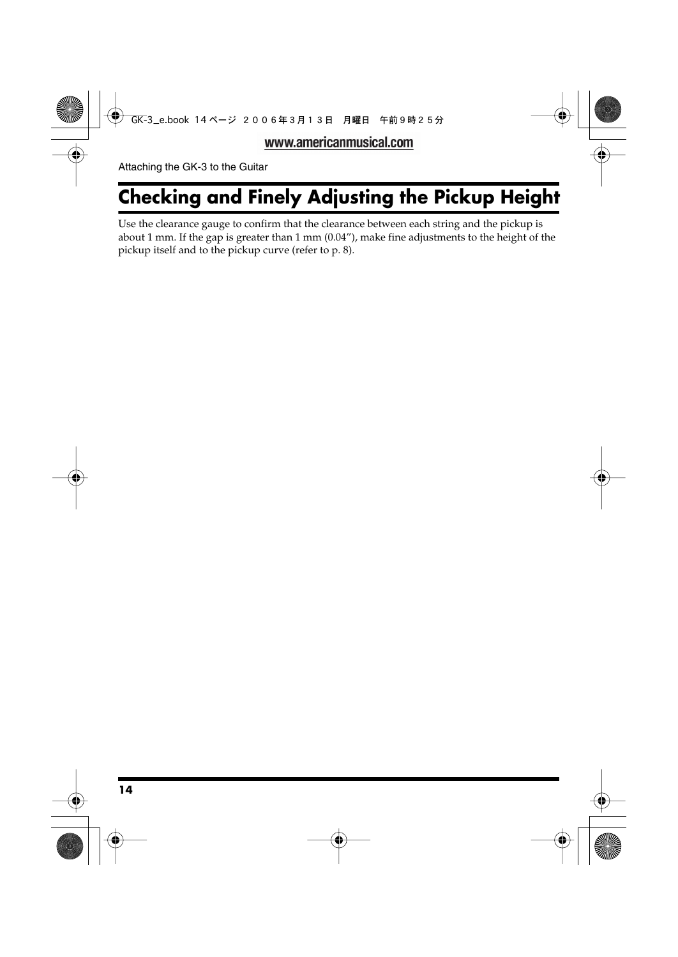## **Checking and Finely Adjusting the Pickup Height**

Use the clearance gauge to confirm that the clearance between each string and the pickup is about 1 mm. If the gap is greater than 1 mm (0.04"), make fine adjustments to the height of the pickup itself and to the pickup curve (refer to p. 8).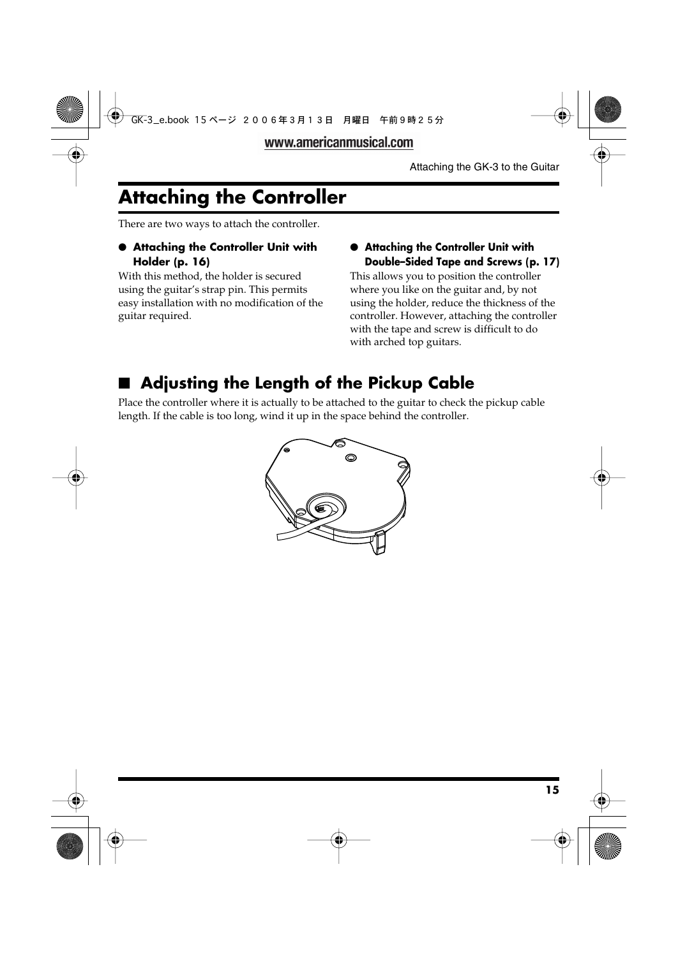## **Attaching the Controller**

There are two ways to attach the controller.

## ● **Attaching the Controller Unit with Holder (p. 16)**

With this method, the holder is secured using the guitar's strap pin. This permits easy installation with no modification of the guitar required.

## ● **Attaching the Controller Unit with Double–Sided Tape and Screws (p. 17)**

This allows you to position the controller where you like on the guitar and, by not using the holder, reduce the thickness of the controller. However, attaching the controller with the tape and screw is difficult to do with arched top guitars.

## ■ **Adjusting the Length of the Pickup Cable**

Place the controller where it is actually to be attached to the guitar to check the pickup cable length. If the cable is too long, wind it up in the space behind the controller.

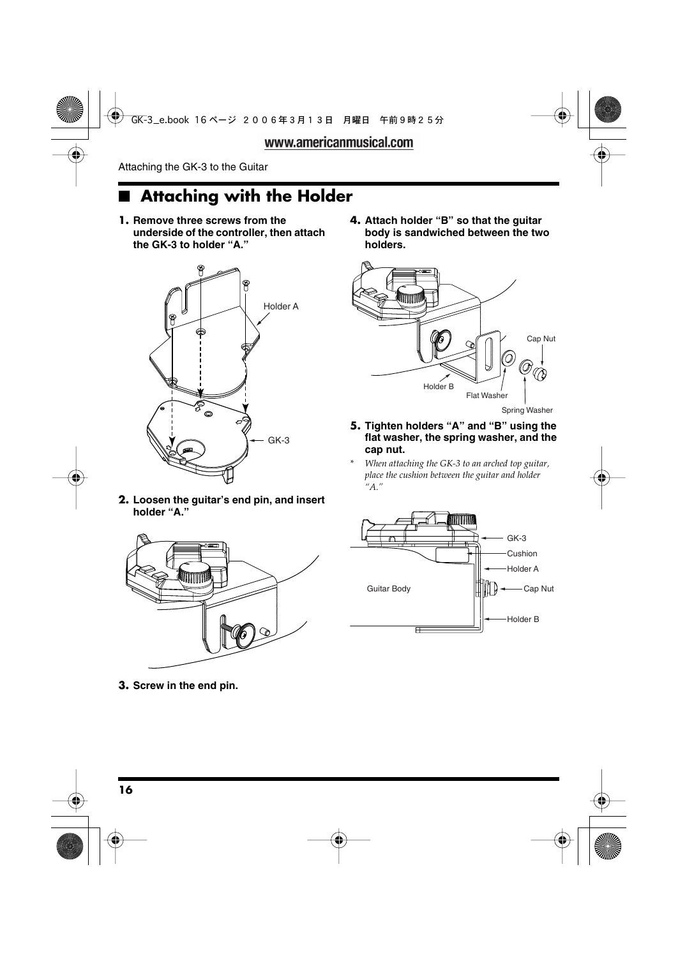## ■ **Attaching with the Holder**

**1. Remove three screws from the underside of the controller, then attach the GK-3 to holder "A."**



**2. Loosen the guitar's end pin, and insert holder "A."**



**4. Attach holder "B" so that the guitar body is sandwiched between the two holders.**



Spring Washer

- **5. Tighten holders "A" and "B" using the flat washer, the spring washer, and the cap nut.**
- *\* When attaching the GK-3 to an arched top guitar, place the cushion between the guitar and holder "A."*



**3. Screw in the end pin.**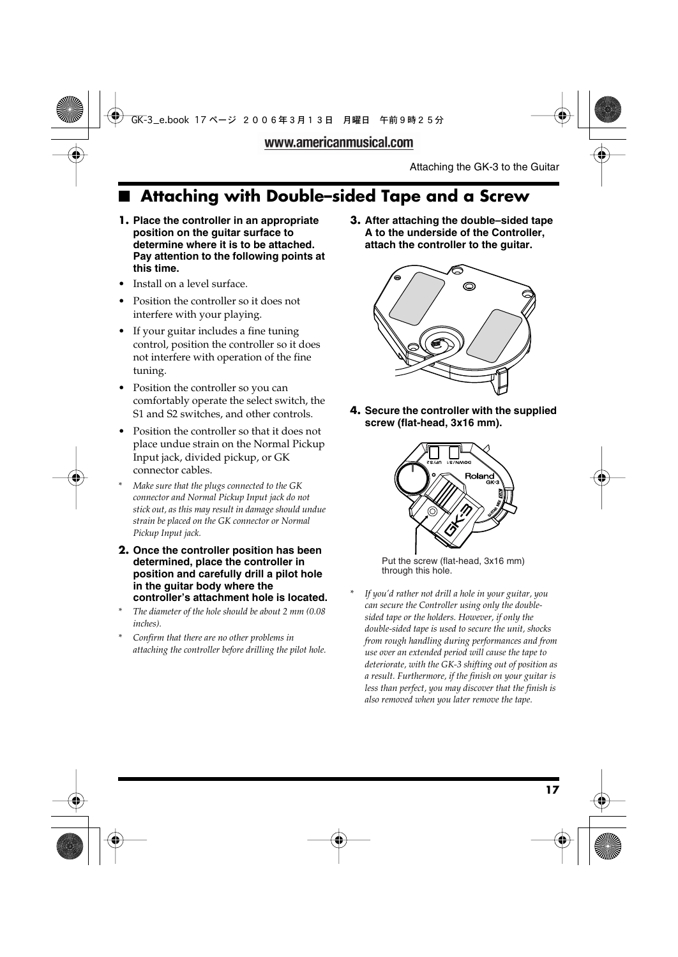## ■ **Attaching with Double–sided Tape and a Screw**

- **1. Place the controller in an appropriate position on the guitar surface to determine where it is to be attached. Pay attention to the following points at this time.**
- Install on a level surface.
- Position the controller so it does not interfere with your playing.
- If your guitar includes a fine tuning control, position the controller so it does not interfere with operation of the fine tuning.
- Position the controller so you can comfortably operate the select switch, the S1 and S2 switches, and other controls.
- Position the controller so that it does not place undue strain on the Normal Pickup Input jack, divided pickup, or GK connector cables.
- *\* Make sure that the plugs connected to the GK connector and Normal Pickup Input jack do not stick out, as this may result in damage should undue strain be placed on the GK connector or Normal Pickup Input jack.*
- **2. Once the controller position has been determined, place the controller in position and carefully drill a pilot hole in the guitar body where the controller's attachment hole is located.**
- *\* The diameter of the hole should be about 2 mm (0.08 inches).*
- *\* Confirm that there are no other problems in attaching the controller before drilling the pilot hole.*

**3. After attaching the double–sided tape A to the underside of the Controller, attach the controller to the guitar.** 



**4. Secure the controller with the supplied screw (flat-head, 3x16 mm).**



Put the screw (flat-head, 3x16 mm) through this hole.

*\* If you'd rather not drill a hole in your guitar, you can secure the Controller using only the doublesided tape or the holders. However, if only the double-sided tape is used to secure the unit, shocks from rough handling during performances and from use over an extended period will cause the tape to deteriorate, with the GK-3 shifting out of position as a result. Furthermore, if the finish on your guitar is less than perfect, you may discover that the finish is also removed when you later remove the tape.*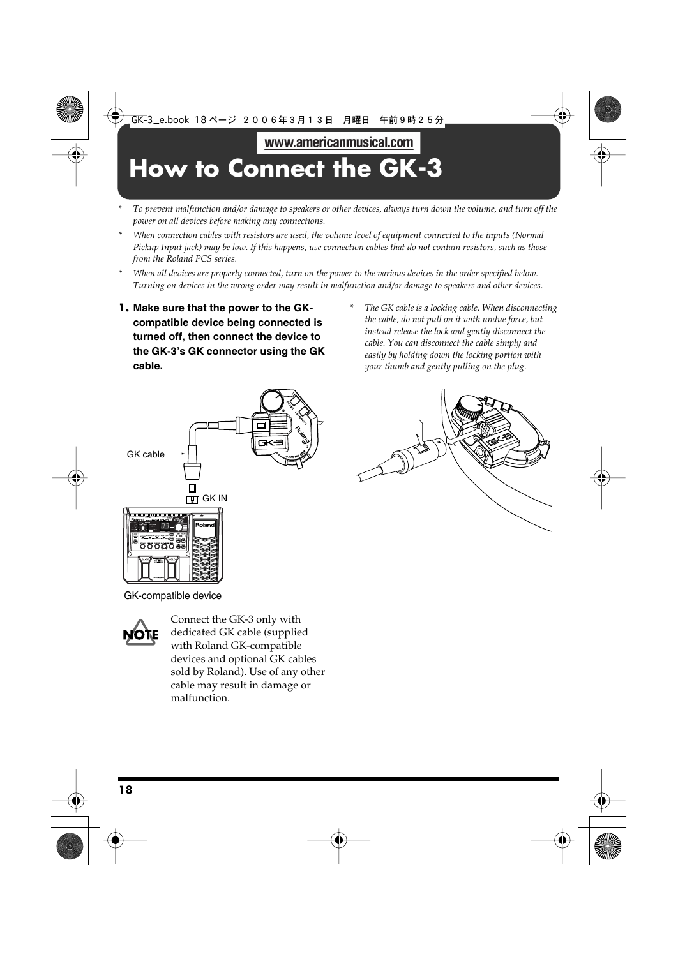## **How to Connect the GK-3**

- *\* To prevent malfunction and/or damage to speakers or other devices, always turn down the volume, and turn off the power on all devices before making any connections.*
- *\* When connection cables with resistors are used, the volume level of equipment connected to the inputs (Normal Pickup Input jack) may be low. If this happens, use connection cables that do not contain resistors, such as those from the Roland PCS series.*
- *\* When all devices are properly connected, turn on the power to the various devices in the order specified below. Turning on devices in the wrong order may result in malfunction and/or damage to speakers and other devices.*
- **1. Make sure that the power to the GKcompatible device being connected is turned off, then connect the device to the GK-3's GK connector using the GK cable.**
- *\* The GK cable is a locking cable. When disconnecting the cable, do not pull on it with undue force, but instead release the lock and gently disconnect the cable. You can disconnect the cable simply and easily by holding down the locking portion with your thumb and gently pulling on the plug.*





GK-compatible device



Connect the GK-3 only with dedicated GK cable (supplied with Roland GK-compatible devices and optional GK cables sold by Roland). Use of any other cable may result in damage or malfunction.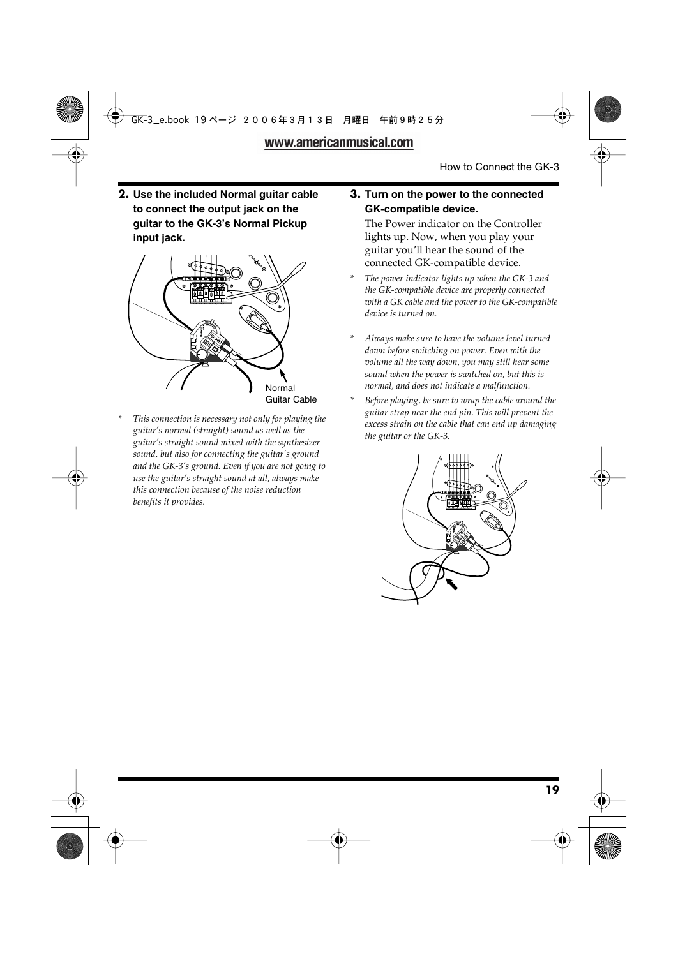**2. Use the included Normal guitar cable to connect the output jack on the guitar to the GK-3's Normal Pickup input jack.**



*\* This connection is necessary not only for playing the guitar's normal (straight) sound as well as the guitar's straight sound mixed with the synthesizer sound, but also for connecting the guitar's ground and the GK-3's ground. Even if you are not going to use the guitar's straight sound at all, always make this connection because of the noise reduction benefits it provides.*

### **3. Turn on the power to the connected GK-compatible device.**

The Power indicator on the Controller lights up. Now, when you play your guitar you'll hear the sound of the connected GK-compatible device.

- *\* The power indicator lights up when the GK-3 and the GK-compatible device are properly connected with a GK cable and the power to the GK-compatible device is turned on.*
- *\* Always make sure to have the volume level turned down before switching on power. Even with the volume all the way down, you may still hear some sound when the power is switched on, but this is normal, and does not indicate a malfunction.*
- *\* Before playing, be sure to wrap the cable around the guitar strap near the end pin. This will prevent the excess strain on the cable that can end up damaging the guitar or the GK-3.*

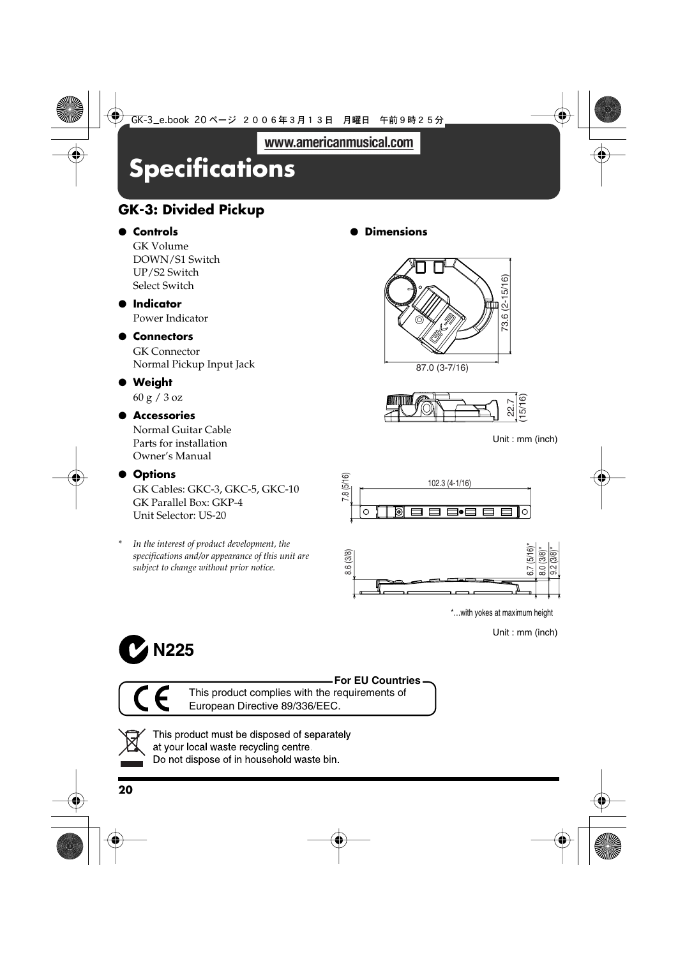## **Specifications**

## **GK-3: Divided Pickup**

## ● **Controls**

GK Volume DOWN/S1 Switch UP/S2 Switch Select Switch

## ● **Indicator**

Power Indicator

## ● **Connectors**

GK Connector Normal Pickup Input Jack

## ● **Weight**

60 g / 3 oz

## ● **Accessories**

Normal Guitar Cable Parts for installation Owner's Manual

## ● **Options**

GK Cables: GKC-3, GKC-5, GKC-10 GK Parallel Box: GKP-4 Unit Selector: US-20

In the interest of product development, the *specifications and/or appearance of this unit are subject to change without prior notice.*

● **Dimensions**





Unit : mm (inch)



Unit : mm (inch)





This product complies with the requirements of European Directive 89/336/EEC.



This product must be disposed of separately at your local waste recycling centre. Do not dispose of in household waste bin.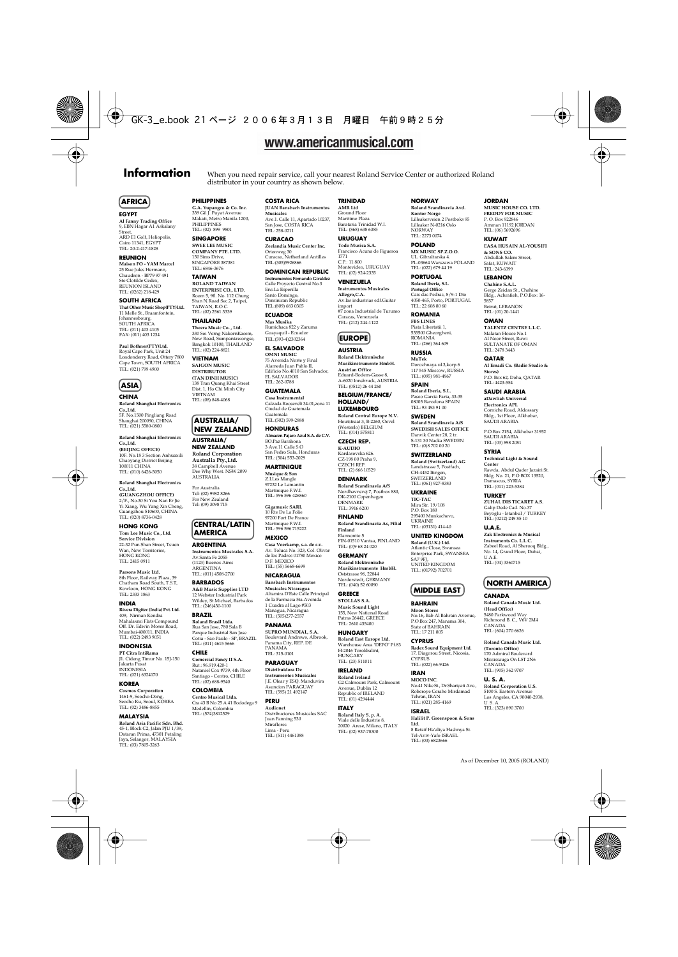### **Information** When you need repair service, call your nearest Roland Service Center or authorized Roland

#### **AFRICA**

#### **EGYPT Al Fanny Trading Office** 9, EBN Hagar A1 Askalany Street, ARD E1 Golf, Heliopolis, Cairo 11341, EGYPT TEL: 20-2-417-1828

**REUNION Maison FO - YAM Marcel** 25 Rue Jules Hermann, Chaudron - BP79 97 491 Ste Clotilde Cedex, REUNION ISLAND TEL: (0262) 218-429

**SOUTH AFRICA That Other Music Shop(PTY)Ltd.** 11 Melle St., Braamfontein, Johannesbourg, SOUTH AFRICA TEL: (011) 403 4105 FAX: (011) 403 1234

**Paul Bothner(PTY)Ltd.** Royal Cape Park, Unit 24 Londonderry Road, Ottery 7800 Cape Town, SOUTH AFRICA TEL: (021) 799 4900



**Roland Shanghai Electronics Co.,Ltd.**

5F. No.1500 Pingliang Road Shanghai 200090, CHINA TEL: (021) 5580-0800 **Roland Shanghai Electronics** 

Co.,Ltd. **(BEIJING OFFICE)** 10F. No.18 3 Section Anhuaxili Chaoyang District Beijing 100011 CHINA TEL: (010) 6426-5050

**Roland Shanghai Electronics Co.,Ltd. (GUANGZHOU OFFICE)** 2/F., No.30 Si You Nan Er Jie Yi Xiang, Wu Yang Xin Cheng, Guangzhou 510600, CHINA TEL: (020) 8736-0428

**HONG KONG Tom Lee Music Co., Ltd. Service Division** 22-32 Pun Shan Street, Tsuen Wan, New Territories, HONG KONG TEL: 2415 0911

**Parsons Music Ltd.**  8th Floor, Railway Plaza, 39 Chatham Road South, T.S.T, Kowloon, HONG KONG TEL: 2333 1863

#### **INDIA**

**Rivera Digitec (India) Pvt. Ltd.** 409, Nirman Kendra<br>Mahalasmi Flats Com Mahalaxmi Flats Compound Off. Dr. Edwin Moses Road, Mumbai-400011, INDIA TEL: (022) 2493

#### **INDONESIA**

**PT Citra IntiRama** J1. Cideng Timur No. 15J-150 Jakarta Pusat INDONESIA TEL: (021) 6324170

#### **KOREA**

**Cosmos Corporation** 1461-9, Seocho-Dong, Seocho Ku, Seoul, KOREA TEL: (02) 3486-8855

#### **MALAYSIA**

**Roland Asia Pacific Sdn. Bhd.** 45-1, Block C2, Jalan PJU 1/39, Dataran Prima, 47301 Petaling Jaya, Selangor, MALAYSIA TEL: (03) 7805-3263

**PHILIPPINES**

**G.A. Yupangco & Co. Inc.** 339 Gil J. Puyat Avenue Makati, Metro Manila 1200, PHILIPPINES TEL: (02) 899 9801

**SINGAPORE SWEE LEE MUSIC COMPANY PTE. LTD.** 150 Sims Drive, SINGAPORE 387381 TEL: 6846-3676

**TAIWAN ROLAND TAIWAN ENTERPRISE CO., LTD.** Room 5, 9fl. No. 112 Chung Shan N.Road Sec.2, Taipei, TAIWAN, R.O.C. TEL: (02) 2561 3339

**THAILAND Theera Music Co. , Ltd.** 330 Soi Verng NakornKasem, New Road, Sumpantawongse, Bangkok 10100, THAILAND TEL: (02) 224-8821

**VIETNAM SAIGON MUSIC DISTRIBUTOR (TAN DINH MUSIC)** 138 Tran Quang Khai Street Dist. 1, Ho Chi Minh City VIETNAM TEL: (08) 848-4068

#### **AUSTRALIA/ NEW ZEALAND**

**AUSTRALIA/ NEW ZEALAND Roland Corporation Australia Pty.,Ltd.**  38 Campbell Avenue Dee Why West. NSW 2099 AUSTRALIA

For Australia Tel: (02) 9982 8266 For New Zealand Tel: (09) 3098 715

#### **CENTRAL/LATIN AMERICA**

**ARGENTINA Instrumentos Musicales S.A.** Av.Santa Fe 2055 (1123) Buenos Aires ARGENTINA TEL: (011) 4508-2700

**BARBADOS A&B Music Supplies LTD** 12 Webster Industrial Park Wildey, St.Michael, Barbados TEL: (246)430-1100

**BRAZIL Roland Brasil Ltda.** Rua San Jose, 780 Sala B Parque Industrial San Jose Cotia - Sao Paulo - SP, BRAZIL TEL: (011) 4615 5666

#### **CHILE Comercial Fancy II S.A.** Rut.: 96.919.420-1 Nataniel Cox #739, 4th Floor Santiago - Centro, CHILE TEL: (02) 688-9540

**COLOMBIA Centro Musical Ltda.** Cra 43 B No 25 A 41 Bododega 9 Medellin, Colombia TEL: (574)3812529

Distribuciones Musicales SAC Juan Fanning 530 Miraflores Lima - Peru TEL: (511) 4461388

**Musicales** Ave.1. Calle 11, Apartado 10237, San Jose, COSTA RICA TEL: 258-0211 **CURACAO**

**Zeelandia Music Center Inc.** Orionweg 30 Curacao, Netherland Antilles TEL:(305)5926866

distributor in your country as shown below.

**COSTA RICA JUAN Bansbach Instrumentos** 

**DOMINICAN REPUBLIC Instrumentos Fernando Giraldez** Calle Proyecto Central No.3 Ens.La Esperilla Santo Domingo, Santo Loumago,<br>Dominican Republi TEL:(809) 683 0305

**ECUADOR Mas Musika** Rumichaca 822 y Zaruma Guayaquil - Ecuador TEL:(593-4)2302364

**EL SALVADOR OMNI MUSIC** 75 Avenida Norte y Final Alameda Juan Pablo II, Edificio No.4010 San Salvador, EL CALVADOR TEL: 262-0788

**GUATEMALA Casa Instrumental** Calzada Roosevelt 34-01,zona 11 Ciudad de Guatemala Guatemala TEL:(502) 599-2888

**HONDURAS Almacen Pajaro Azul S.A. de C.V.** BO.Paz Barahona 3 Ave.11 Calle S.O San Pedro Sula, Honduras TEL: (504) 553-2029 **MARTINIQUE**

**Musique & Son** Z.I.Les Mangle 97232 Le Lamantin Martinique F.W.I. TEL: 596 596 426860

**Gigamusic SARL** 10 Rte De La Folie 97200 Fort De France Martinique F.W.I. TEL: 596 596 715222

**MEXICO Casa Veerkamp, s.a. de c.v.** Av. Toluca No. 323, Col. Olivar

de los Padres 01780 Mexico D.F. MEXICO TEL: (55) 5668-6699 **NICARAGUA Bansbach Instrumentos** 

**Musicales Nicaragua** Altamira D'Este Calle Principal de la Farmacia 5ta.Avenida 1 Cuadra al Lago.#503

Managua, Nicaragua TEL: (505)277-2557 **PANAMA SUPRO MUNDIAL, S.A.** Boulevard Andrews, Albrook, Panama City, REP. DE PANAMA

TEL: 315-0101 **PARAGUAY**

**Distribuidora De Instrumentos Musicales** J.E. Olear y ESQ. Manduvira Asuncion PARAGUAY TEL: (595) 21 492147

#### **PERU Audionet**

#### **TRINIDAD AMR Ltd**

Ground Floor Maritime Plaza Barataria Trinidad W.I. TEL: (868) 638 6385 **URUGUAY Todo Musica S.A.**

Francisco Acuna de Figueroa 1771 C.P.: 11.800 Montevideo, URUGUAY TEL: (02) 924-2335

**VENEZUELA Instrumentos Musicales Allegro,C.A.** Av.las industrias edf.Guitar import #7 zona Industrial de Turumo Caracas, Venezuela TEL: (212) 244-1122

#### **EUROPE**

**AUSTRIA Roland Elektronische Musikinstrumente HmbH. Austrian Office** Eduard-Bodem-Gasse 8, A-6020 Innsbruck, AUSTRIA

TEL: (0512) 26 44 260 **BELGIUM/FRANCE/ HOLLAND/ LUXEMBOURG Roland Central Europe N.V.** Houtstraat 3, B-2260, Oevel (Westerlo) BELGIUM TEL: (014) 575811

**CZECH REP. K-AUDIO** Kardasovska 626. CZ-198 00 Praha 9, CZECH REP. TEL: (2) 666 10529

**DENMARK Roland Scandinavia A/S** Nordhavnsvej 7, Postbox 880, DK-2100 Copenhagen DENMARK TEL: 3916 6200

**FINLAND Roland Scandinavia As, Filial Finland**<br>Flannontie 5 Elannontie 5 FIN-01510 Vantaa, FINLAND

TEL: (0)9 68 24 020 **GERMANY Roland Elektronische Musikinstrumente HmbH.** Oststrasse 96, 22844 Norderstedt, GERMANY

TEL: (040) 52 60090 **GREECE STOLLAS S.A. Music Sound Light** waste sound Eight<br>155, New National R Patras 26442, GREECE TEL: 2610 435400

**HUNGARY Roland East Europe Ltd.** Warehouse Area 'DEPO' Pf.83 H-2046 Torokbalint, **HUNGARY** TEL: (23) 511011

**IRELAND Roland Ireland** G2 Calmount Park, Calmount Avenue, Dublin 12 Republic of IRELAND TEL: (01) 4294444

**ITALY Roland Italy S. p. A.**  Viale delle Industrie 8, 20020 Arese, Milano, ITALY TEL: (02) 937-78300

#### **NORWAY**

**Roland Scandinavia Avd. Kontor Norge** Lilleakerveien 2 Postboks 95 Lilleaker N-0216 Oslo NORWAY TEL: 2273 0074

**POLAND MX MUSIC SP.Z.O.O.** UL. Gibraltarska 4. PL-03664 Warszawa POLAND TEL: (022) 679 44 19

**PORTUGAL Roland Iberia, S.L. Portugal Office** Cais das Pedras, 8/9-1 Dto 4050-465, Porto, PORTUGAL TEL: 22 608 00 60

**ROMANIA FBS LINES** Piata Libertatii 1, 535500 Gheorgheni, ROMANIA TEL: (266) 364 609

**RUSSIA MuTek** Dorozhnaya ul.3,korp.6 117 545 Moscow, RUSSIA TEL: (095) 981-4967

**SPAIN**<br>Roland Iberia, S.L. **Roland Iberia, S.L.**  Paseo García Faria, 33-35 08005 Barcelona SPAIN TEL: 93 493 91 00

**SWEDEN Roland Scandinavia A/S SWEDISH SALES OFFICE** Danvik Center 28, 2 tr. S-131 30 Nacka SWEDEN TEL: (0)8 702 00 20

**SWITZERLAND Roland (Switzerland) AG**  Landstrasse 5, Postfach, CH-4452 Itingen,<br>SWITZERLAND TEL: (061) 927-8383

**UKRAINE TIC-TAC** Mira Str. 19/108<br>P.O. Box 180 P.O. Box 180 295400 Munkachevo, UKRAINE TEL: (03131) 414-40

**UNITED KINGDOM Roland (U.K.) Ltd.** Atlantic Close, Swansea Enterprise Park, SWANSEA SA7 9FJ,<br>UNITED KINGDOM TEL: (01792) 702701

## **MIDDLE EAST NORTH AMERICA**

**BAHRAIN Moon Stores** No.16, Bab Al Bahrain Avenue, P.O.Box 247, Manama 304, State of BAHRAIN TEL: 17 211 005

**CYPRUS Radex Sound Equipment Ltd.** 17, Diagorou Street, Nicosia, CYPRUS TEL: (022) 66-9426

**IRAN MOCO INC.** No.41 Nike St., Dr.Shariyati Ave., Roberoye Cerahe Mirdamad<br>Tehran, IRAN Tehran, IRAN TEL: (021) 285-4169

#### **ISRAEL Halilit P. Greenspoon & Sons**

**Ltd.** 8 Retzif Ha'aliya Hashnya St. Tel-Aviv-Yafo ISRAEL TEL: (03) 6823666

#### **JORDAN**

**MUSIC HOUSE CO. LTD. FREDDY FOR MUSIC**  P. O. Box 922846 Amman 11192 JORDAN TEL: (06) 5692696

**KUWAIT EASA HUSAIN AL-YOUSIFI & SONS CO.** Abdullah Salem Street, Safat, KUWAIT TEL: 243-639

**LEBANON Chahine S.A.L.** Gerge Zeidan St., Chahine Bldg., Achrafieh, P.O.Box: 16- 5857 Beirut, LEBANON

TEL: (01) 20-1441 **OMAN TALENTZ CENTRE L.L.C.**

Malatan House No.1 Al Noor Street, Ruwi SULTANATE OF OMAN TEL: 2478 3443 **QATAR Al Emadi Co. (Badie Studio &** 

**Stores)** P.O. Box 62, Doha, QATAR TEL: 4423-554

**SAUDI ARABIA aDawliah Universal Electronics APL** Corniche Road, Aldossary Bldg., 1st Floor, Alkhobar, SAUDI ARABIA

P.O.Box 2154, Alkhobar 31952 SAUDI ARABIA TEL: (03) 898 2081

**SYRIA Technical Light & Sound**  Center<br>Rawda, Abdul Oader Jazairi St.

Rawda, Abdul Qader Jazairi St. Bldg. No. 21, P.O.BOX 13520, Damascus, SYRIA TEL: (011) 223-5384

**TURKEY ZUHAL DIS TICARET A.S.** Galip Dede Cad. No.37 Beyoglu - Istanbul / TURKEY TEL: (0212) 249 85 10

**U.A.E. Zak Electronics & Musical Instruments Co. L.L.C.** Zabeel Road, Al Sherooq Bldg., No. 14, Grand Floor, Dubai, U.A.E. TEL: (04) 3360715

**CANADA Roland Canada Music Ltd. (Head Office)** 5480 Parkwood Way Richmond B. C., V6V 2M4 CANADA TEL: (604) 270 6626 **Roland Canada Music Ltd. (Toronto Office)** 170 Admiral Boulevard Mississauga On L5T 2N6 CANADA TEL: (905) 362 9707 **U. S. A. Roland Corporation U.S.** 5100 S. Eastern Avenue Los Angeles, CA 90040-2938, U. S. A. TEL: (323) 890 3700

As of December 10, 2005 (ROLAND)